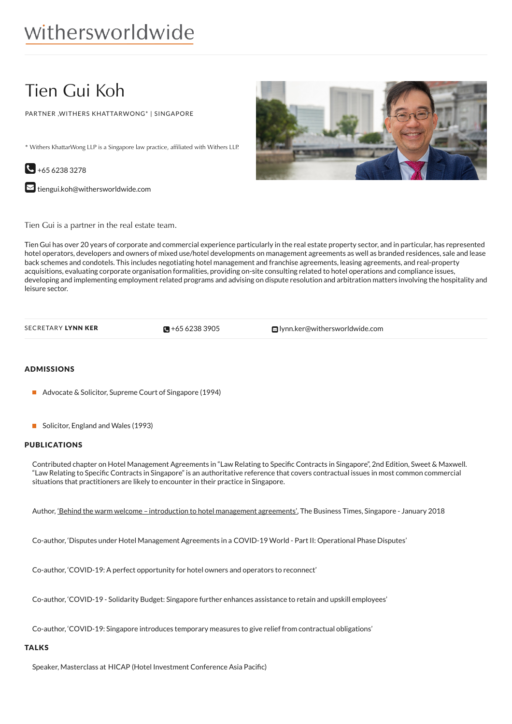# Tien Gui Koh

PARTNER ,WITHERS KHATTARWONG\* | SINGAPORE

\* Withers KhattarWong LLP is a Singapore law practice, affiliated with Withers LLP.



 $\blacktriangleright$  [tiengui.koh@withersworldwide.com](mailto:tiengui.koh@withersworldwide.com?subject=Website Enquiry - Profile Page)



Tien Gui is a partner in the real estate team.

Tien Gui has over 20 years of corporate and commercial experience particularly in the real estate property sector, and in particular, has represented hotel operators, developers and owners of mixed use/hotel developments on management agreements as well as branded residences, sale and lease back schemes and condotels. This includes negotiating hotel management and franchise agreements, leasing agreements, and real-property acquisitions, evaluating corporate organisation formalities, providing on-site consulting related to hotel operations and compliance issues, developing and implementing employment related programs and advising on dispute resolution and arbitration matters involving the hospitality and leisure sector.

| SECRETARY LYNN KER | $\Box + 6562383905$ |
|--------------------|---------------------|

 $S$  CRETARY LYNN KER  $\blacksquare$  +65 6238 [3905](tel:+65 6238 3905)  $\blacksquare$  [lynn.ker@withersworldwide.com](mailto:lynn.ker@withersworldwide.com)

## ADMISSIONS

- Advocate & Solicitor, Supreme Court of Singapore (1994)
- Solicitor, England and Wales (1993)

#### PUBLICATIONS

Contributed chapter on Hotel Management Agreements in "Law Relating to Specific Contracts in Singapore", 2nd Edition, Sweet & Maxwell. "Law Relating to Specific Contracts in Singapore" is an authoritative reference that covers contractual issues in most common commercial situations that practitioners are likely to encounter in their practice in Singapore.

Author, 'Behind the warm welcome – introduction to hotel [management](https://www.businesstimes.com.sg/magazines/the-sme-magazine-januaryfebruary-2018/behind-the-warm-welcome) agreements', The Business Times, Singapore - January 2018

Co-author, 'Disputes under Hotel Management Agreements in a COVID-19 World - Part II: Operational Phase Disputes'

Co-author, 'COVID-19: A perfect opportunity for hotel owners and operators to reconnect'

Co-author, 'COVID-19 - Solidarity Budget: Singapore further enhances assistance to retain and upskill employees'

Co-author, 'COVID-19: Singapore introduces temporary measures to give relief from contractual obligations'

### **TALKS**

Speaker, Masterclass at HICAP (Hotel Investment Conference Asia Pacific)